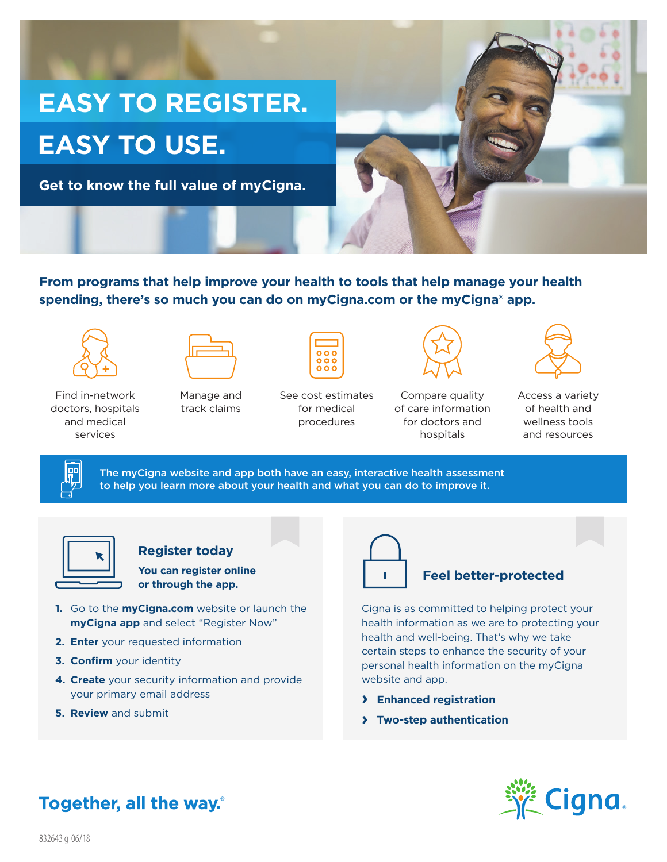

**From programs that help improve your health to tools that help manage your health spending, there's so much you can do on myCigna.com or the myCigna® app.** 





Find in-network doctors, hospitals and medical services

Manage and track claims

|   | 000<br>0 O O |  |  |  |
|---|--------------|--|--|--|
| C | ost estima   |  |  |  |

See cost estimates for medical procedures



Compare quality of care information for doctors and hospitals



Access a variety of health and wellness tools and resources

The myCigna website and app both have an easy, interactive health assessment to help you learn more about your health and what you can do to improve it.

### **Register today**

**You can register online or through the app.**

- **1.** Go to the **myCigna.com** website or launch the **myCigna app** and select "Register Now"
- **2. Enter** your requested information
- **3. Confirm** your identity
- **4. Create** your security information and provide your primary email address
- **5. Review** and submit



#### **Feel better-protected**

Cigna is as committed to helping protect your health information as we are to protecting your health and well-being. That's why we take certain steps to enhance the security of your personal health information on the myCigna website and app.

- **› Enhanced registration**
- **› Two-step authentication**



# Together, all the way.